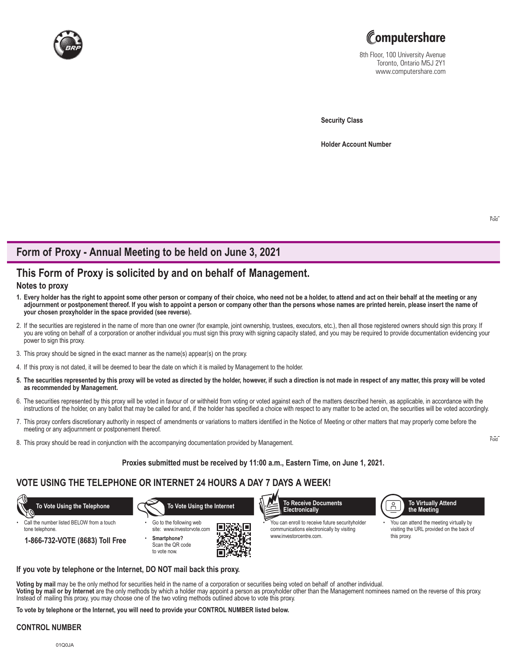



8th Floor, 100 University Avenue Toronto, Ontario M5J 2Y1 www.computershare.com

**Security Class**

**Holder Account Number** 

# **Form of Proxy - Annual Meeting to be held on June 3, 2021**

# **This Form of Proxy is solicited by and on behalf of Management.**

#### **Notes to proxy**

- **1. Every holder has the right to appoint some other person or company of their choice, who need not be a holder, to attend and act on their behalf at the meeting or any adjournment or postponement thereof. If you wish to appoint a person or company other than the persons whose names are printed herein, please insert the name of your chosen proxyholder in the space provided (see reverse).**
- 2. If the securities are registered in the name of more than one owner (for example, joint ownership, trustees, executors, etc.), then all those registered owners should sign this proxy. If you are voting on behalf of a corporation or another individual you must sign this proxy with signing capacity stated, and you may be required to provide documentation evidencing your power to sign this proxy.
- 3. This proxy should be signed in the exact manner as the name(s) appear(s) on the proxy.
- 4. If this proxy is not dated, it will be deemed to bear the date on which it is mailed by Management to the holder.
- **5. The securities represented by this proxy will be voted as directed by the holder, however, if such a direction is not made in respect of any matter, this proxy will be voted as recommended by Management.**
- 6. The securities represented by this proxy will be voted in favour of or withheld from voting or voted against each of the matters described herein, as applicable, in accordance with the instructions of the holder, on any ballot that may be called for and, if the holder has specified a choice with respect to any matter to be acted on, the securities will be voted accordingly.
- 7. This proxy confers discretionary authority in respect of amendments or variations to matters identified in the Notice of Meeting or other matters that may properly come before the meeting or any adjournment or postponement thereof.
- 8. This proxy should be read in conjunction with the accompanying documentation provided by Management.

**Proxies submitted must be received by 11:00 a.m., Eastern Time, on June 1, 2021.**

# **VOTE USING THE TELEPHONE OR INTERNET 24 HOURS A DAY 7 DAYS A WEEK!**



#### **If you vote by telephone or the Internet, DO NOT mail back this proxy.**

**Voting by mail** may be the only method for securities held in the name of a corporation or securities being voted on behalf of another individual. **Voting by mail or by Internet** are the only methods by which a holder may appoint a person as proxyholder other than the Management nominees named on the reverse of this proxy. Instead of mailing this proxy, you may choose one of the two voting methods outlined above to vote this proxy.

**To vote by telephone or the Internet, you will need to provide your CONTROL NUMBER listed below.**

#### **CONTROL NUMBER**